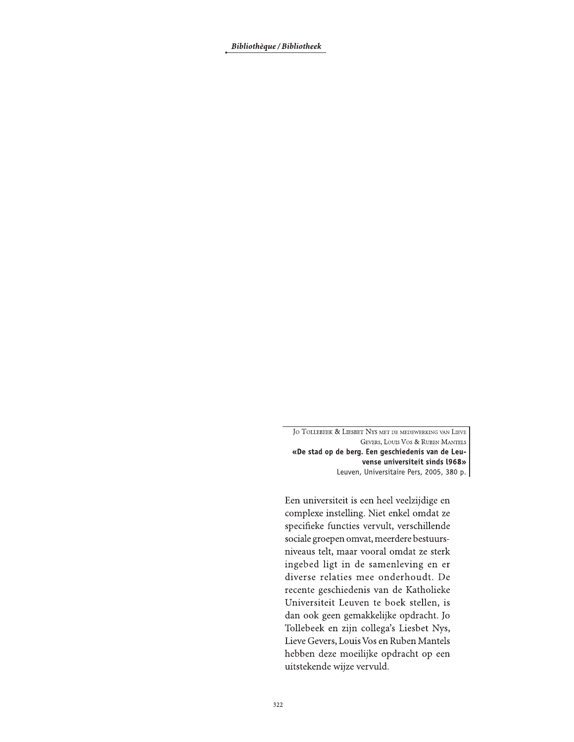Bibliothèque / Bibliotheek

JO TOLLEBEEK & LIESBET NYS MET DE MEDEWERKING VAN LIEVE GEVERS, LOUIS VOS & RUBEN MANTELS «De stad op de berg. Een geschiedenis van de Leuvense universiteit sinds l968» Leuven, Universitaire Pers, 2005, 380 p.

Een universiteit is een heel veelzijdige en complexe instelling. Niet enkel omdat ze specifieke functies vervult, verschillende sociale groepen omvat, meerdere bestuursniveaus telt, maar vooral omdat ze sterk ingebed ligt in de samenleving en er diverse relaties mee onderhoudt. De recente geschiedenis van de Katholieke Universiteit Leuven te boek stellen, is dan ook geen gemakkelijke opdracht. Jo Tollebeek en zijn collega's Liesbet Nys, Lieve Gevers, Louis Vos en Ruben Mantels hebben deze moeilijke opdracht op een uitstekende wijze vervuld.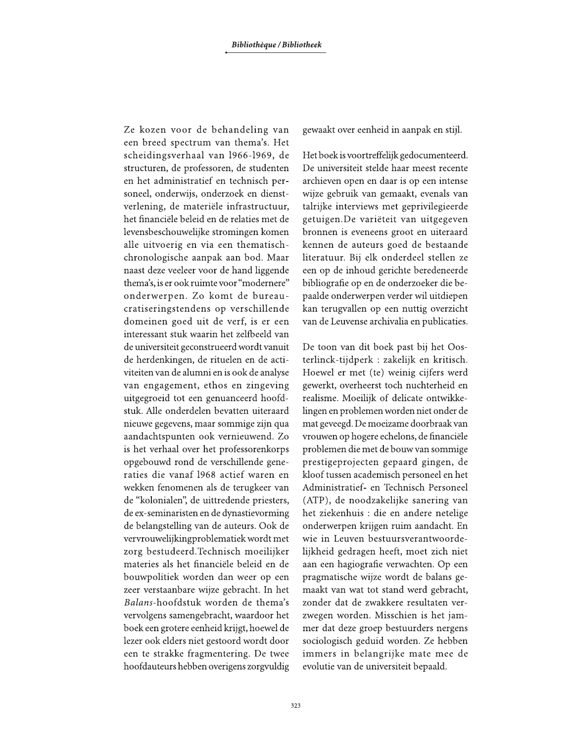Ze kozen voor de behandeling van een breed spectrum van thema's. Het scheidingsverhaal van 1966-1969, de structuren, de professoren, de studenten en het administratief en technisch personeel, onderwijs, onderzoek en dienstverlening, de materiële infrastructuur, het financiële beleid en de relaties met de levensbeschouwelijke stromingen komen alle uitvoerig en via een thematischchronologische aanpak aan bod. Maar naast deze veeleer voor de hand liggende thema's, is er ook ruimte voor "modernere" onderwerpen. Zo komt de bureaucratiseringstendens op verschillende domeinen goed uit de verf, is er een interessant stuk waarin het zelfbeeld van de universiteit geconstrueerd wordt vanuit de herdenkingen, de rituelen en de activiteiten van de alumni en is ook de analyse van engagement, ethos en zingeving uitgegroeid tot een genuanceerd hoofdstuk. Alle onderdelen bevatten uiteraard nieuwe gegevens, maar sommige zijn qua aandachtspunten ook vernieuwend. Zo is het verhaal over het professorenkorps opgebouwd rond de verschillende generaties die vanaf 1968 actief waren en wekken fenomenen als de terugkeer van de "kolonialen", de uittredende priesters, de ex-seminaristen en de dynastievorming de belangstelling van de auteurs. Ook de vervrouwelijkingproblematiek wordt met zorg bestudeerd. Technisch moeilijker materies als het financiële beleid en de bouwpolitiek worden dan weer op een zeer verstaanbare wijze gebracht. In het Balans-hoofdstuk worden de thema's vervolgens samengebracht, waardoor het boek een grotere eenheid krijgt, hoewel de lezer ook elders niet gestoord wordt door een te strakke fragmentering. De twee hoofdauteurs hebben overigens zorgyuldig gewaakt over eenheid in aanpak en stijl.

Het boek is voortreffelijk gedocumenteerd. De universiteit stelde haar meest recente archieven open en daar is op een intense wijze gebruik van gemaakt, evenals van talrijke interviews met geprivilegieerde getuigen.De variëteit van uitgegeven bronnen is eveneens groot en uiteraard kennen de auteurs goed de bestaande literatuur. Bij elk onderdeel stellen ze een op de inhoud gerichte beredeneerde bibliografie op en de onderzoeker die bepaalde onderwerpen verder wil uitdiepen kan terugvallen op een nuttig overzicht van de Leuvense archivalia en publicaties.

De toon van dit boek past bij het Oosterlinck-tijdperk : zakelijk en kritisch. Hoewel er met (te) weinig cijfers werd gewerkt, overheerst toch nuchterheid en realisme. Moeilijk of delicate ontwikkelingen en problemen worden niet onder de mat geveegd. De moeizame doorbraak van vrouwen op hogere echelons, de financiële problemen die met de bouw van sommige prestigeprojecten gepaard gingen, de kloof tussen academisch personeel en het Administratief- en Technisch Personeel (ATP), de noodzakelijke sanering van het ziekenhuis : die en andere netelige onderwerpen krijgen ruim aandacht. En wie in Leuven bestuursverantwoordelijkheid gedragen heeft, moet zich niet aan een hagiografie verwachten. Op een pragmatische wijze wordt de balans gemaakt van wat tot stand werd gebracht, zonder dat de zwakkere resultaten verzwegen worden. Misschien is het jammer dat deze groep bestuurders nergens sociologisch geduid worden. Ze hebben immers in belangrijke mate mee de evolutie van de universiteit bepaald.